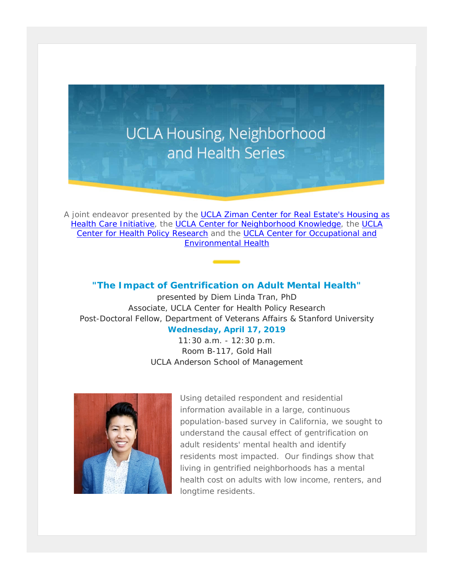

A joint endeavor presented by the [UCLA Ziman Center for Real Estate's Housing as](https://t.e2ma.net/click/im6nbd/iqpt3h/ur2h0z)  [Health Care Initiative,](https://t.e2ma.net/click/im6nbd/iqpt3h/ur2h0z) the [UCLA Center for Neighborhood Knowledge,](https://t.e2ma.net/click/im6nbd/iqpt3h/ak3h0z) the UCLA [Center for Health Policy Research](https://t.e2ma.net/click/im6nbd/iqpt3h/qc4h0z) and the UCLA Center for Occupational and [Environmental](https://t.e2ma.net/click/im6nbd/iqpt3h/644h0z) Health

## **"The Impact of Gentrification on Adult Mental Health"**

presented by Diem Linda Tran, PhD Associate, UCLA Center for Health Policy Research Post-Doctoral Fellow, Department of Veterans Affairs & Stanford University

## **Wednesday, April 17, 2019**

11:30 a.m. - 12:30 p.m. Room B-117, Gold Hall UCLA Anderson School of Management



Using detailed respondent and residential information available in a large, continuous population-based survey in California, we sought to understand the causal effect of gentrification on adult residents' mental health and identify residents most impacted. Our findings show that living in gentrified neighborhoods has a mental health cost on adults with low income, renters, and longtime residents.